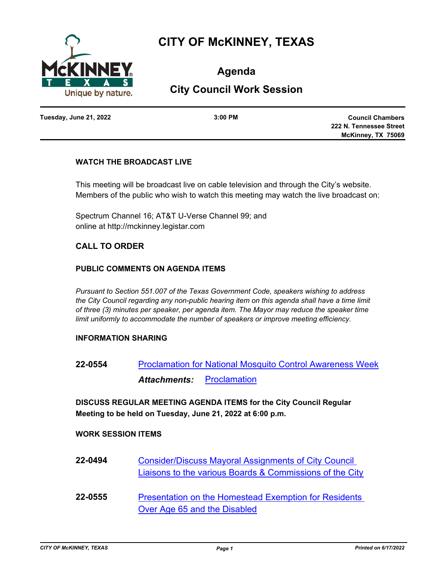

# **CITY OF McKINNEY, TEXAS**

**Agenda**

# **City Council Work Session**

**Tuesday, June 21, 2022 3:00 PM**

**Council Chambers 222 N. Tennessee Street McKinney, TX 75069**

## **WATCH THE BROADCAST LIVE**

This meeting will be broadcast live on cable television and through the City's website. Members of the public who wish to watch this meeting may watch the live broadcast on:

Spectrum Channel 16; AT&T U-Verse Channel 99; and online at http://mckinney.legistar.com

# **CALL TO ORDER**

## **PUBLIC COMMENTS ON AGENDA ITEMS**

*Pursuant to Section 551.007 of the Texas Government Code, speakers wishing to address the City Council regarding any non-public hearing item on this agenda shall have a time limit of three (3) minutes per speaker, per agenda item. The Mayor may reduce the speaker time limit uniformly to accommodate the number of speakers or improve meeting efficiency.*

#### **INFORMATION SHARING**

**22-0554** [Proclamation for National Mosquito Control Awareness Week](http://mckinney.legistar.com/gateway.aspx?m=l&id=23776) *Attachments:* [Proclamation](http://McKinney.legistar.com/gateway.aspx?M=F&ID=7b117a4b-09ac-489c-8ab4-9635c1d53579.pdf)

**DISCUSS REGULAR MEETING AGENDA ITEMS for the City Council Regular Meeting to be held on Tuesday, June 21, 2022 at 6:00 p.m.**

## **WORK SESSION ITEMS**

- **22-0494** Consider/Discuss Mayoral Assignments of City Council [Liaisons to the various Boards & Commissions of the City](http://mckinney.legistar.com/gateway.aspx?m=l&id=23891)
- **22-0555** [Presentation on the Homestead Exemption for Residents](http://mckinney.legistar.com/gateway.aspx?m=l&id=23985)  Over Age 65 and the Disabled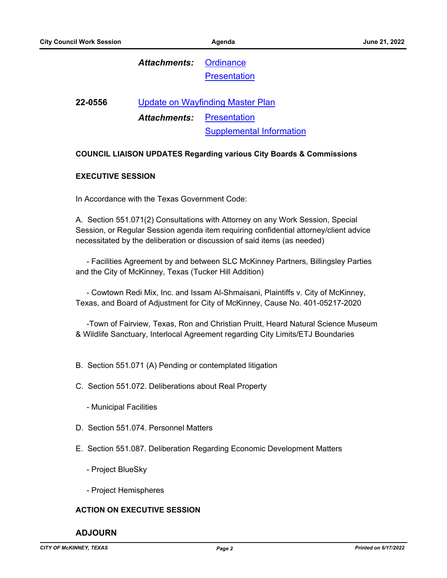**[Ordinance](http://McKinney.legistar.com/gateway.aspx?M=F&ID=627f05ee-4a9f-4fae-a28f-e78f00b11acf.docx) [Presentation](http://McKinney.legistar.com/gateway.aspx?M=F&ID=89beb2d8-4320-4b61-991e-f02964777eb7.pdf)** *Attachments:*

**22-0556** [Update on Wayfinding Master Plan](http://mckinney.legistar.com/gateway.aspx?m=l&id=23786) **[Presentation](http://McKinney.legistar.com/gateway.aspx?M=F&ID=2518cb20-4017-4427-90c1-2c4f991ced69.pdf)** [Supplemental Information](http://McKinney.legistar.com/gateway.aspx?M=F&ID=55f3c686-641d-43e3-aeaf-db738eb53609.pdf) *Attachments:*

#### **COUNCIL LIAISON UPDATES Regarding various City Boards & Commissions**

#### **EXECUTIVE SESSION**

In Accordance with the Texas Government Code:

A. Section 551.071(2) Consultations with Attorney on any Work Session, Special Session, or Regular Session agenda item requiring confidential attorney/client advice necessitated by the deliberation or discussion of said items (as needed)

 - Facilities Agreement by and between SLC McKinney Partners, Billingsley Parties and the City of McKinney, Texas (Tucker Hill Addition)

 - Cowtown Redi Mix, Inc. and Issam Al-Shmaisani, Plaintiffs v. City of McKinney, Texas, and Board of Adjustment for City of McKinney, Cause No. 401-05217-2020

 -Town of Fairview, Texas, Ron and Christian Pruitt, Heard Natural Science Museum & Wildlife Sanctuary, Interlocal Agreement regarding City Limits/ETJ Boundaries

- B. Section 551.071 (A) Pending or contemplated litigation
- C. Section 551.072. Deliberations about Real Property
	- Municipal Facilities
- D. Section 551.074. Personnel Matters
- E. Section 551.087. Deliberation Regarding Economic Development Matters
	- Project BlueSky
	- Project Hemispheres

# **ACTION ON EXECUTIVE SESSION**

#### **ADJOURN**